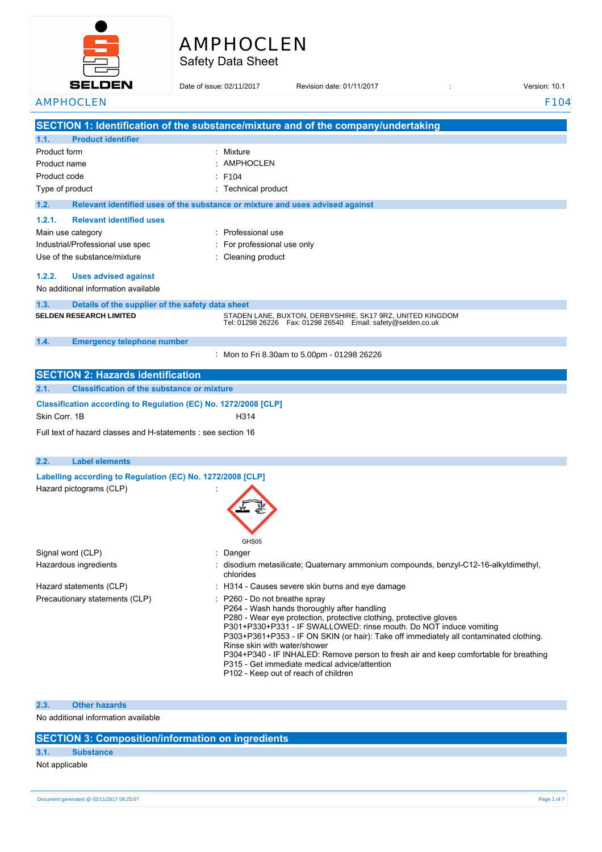# AMPHOCLEN

Safety Data Sheet

| <b>SELDEN</b>                                                                         | Date of issue: 02/11/2017 | Revision date: 01/11/2017                                                                                                                                                                                                                                                                                                                                                                                                                                                                                                          | Version: 10.1    |
|---------------------------------------------------------------------------------------|---------------------------|------------------------------------------------------------------------------------------------------------------------------------------------------------------------------------------------------------------------------------------------------------------------------------------------------------------------------------------------------------------------------------------------------------------------------------------------------------------------------------------------------------------------------------|------------------|
| <b>AMPHOCLEN</b>                                                                      |                           |                                                                                                                                                                                                                                                                                                                                                                                                                                                                                                                                    | F <sub>104</sub> |
|                                                                                       |                           | SECTION 1: Identification of the substance/mixture and of the company/undertaking                                                                                                                                                                                                                                                                                                                                                                                                                                                  |                  |
| <b>Product identifier</b><br>1.1.                                                     |                           |                                                                                                                                                                                                                                                                                                                                                                                                                                                                                                                                    |                  |
| Product form                                                                          | Mixture                   |                                                                                                                                                                                                                                                                                                                                                                                                                                                                                                                                    |                  |
| Product name                                                                          | <b>AMPHOCLEN</b>          |                                                                                                                                                                                                                                                                                                                                                                                                                                                                                                                                    |                  |
| Product code                                                                          | F104                      |                                                                                                                                                                                                                                                                                                                                                                                                                                                                                                                                    |                  |
| Type of product                                                                       | Technical product         |                                                                                                                                                                                                                                                                                                                                                                                                                                                                                                                                    |                  |
| 1.2.<br>Relevant identified uses of the substance or mixture and uses advised against |                           |                                                                                                                                                                                                                                                                                                                                                                                                                                                                                                                                    |                  |
| 1.2.1.<br><b>Relevant identified uses</b>                                             |                           |                                                                                                                                                                                                                                                                                                                                                                                                                                                                                                                                    |                  |
| Main use category                                                                     | Professional use          |                                                                                                                                                                                                                                                                                                                                                                                                                                                                                                                                    |                  |
| Industrial/Professional use spec                                                      | For professional use only |                                                                                                                                                                                                                                                                                                                                                                                                                                                                                                                                    |                  |
| Use of the substance/mixture                                                          | Cleaning product          |                                                                                                                                                                                                                                                                                                                                                                                                                                                                                                                                    |                  |
| 1.2.2.<br><b>Uses advised against</b>                                                 |                           |                                                                                                                                                                                                                                                                                                                                                                                                                                                                                                                                    |                  |
| No additional information available                                                   |                           |                                                                                                                                                                                                                                                                                                                                                                                                                                                                                                                                    |                  |
| 1.3.<br>Details of the supplier of the safety data sheet                              |                           |                                                                                                                                                                                                                                                                                                                                                                                                                                                                                                                                    |                  |
| <b>SELDEN RESEARCH LIMITED</b>                                                        |                           | STADEN LANE, BUXTON, DERBYSHIRE, SK17 9RZ, UNITED KINGDOM<br>Tel: 01298 26226    Fax: 01298 26540    Email: safety@selden.co.uk                                                                                                                                                                                                                                                                                                                                                                                                    |                  |
| 1.4.<br><b>Emergency telephone number</b>                                             |                           |                                                                                                                                                                                                                                                                                                                                                                                                                                                                                                                                    |                  |
|                                                                                       |                           | Mon to Fri 8.30am to 5.00pm - 01298 26226                                                                                                                                                                                                                                                                                                                                                                                                                                                                                          |                  |
| <b>SECTION 2: Hazards identification</b>                                              |                           |                                                                                                                                                                                                                                                                                                                                                                                                                                                                                                                                    |                  |
| 2.1.<br><b>Classification of the substance or mixture</b>                             |                           |                                                                                                                                                                                                                                                                                                                                                                                                                                                                                                                                    |                  |
| Classification according to Regulation (EC) No. 1272/2008 [CLP]                       |                           |                                                                                                                                                                                                                                                                                                                                                                                                                                                                                                                                    |                  |
| Skin Corr. 1B                                                                         | H314                      |                                                                                                                                                                                                                                                                                                                                                                                                                                                                                                                                    |                  |
| Full text of hazard classes and H-statements : see section 16                         |                           |                                                                                                                                                                                                                                                                                                                                                                                                                                                                                                                                    |                  |
| 2.2.<br><b>Label elements</b>                                                         |                           |                                                                                                                                                                                                                                                                                                                                                                                                                                                                                                                                    |                  |
| Labelling according to Regulation (EC) No. 1272/2008 [CLP]                            |                           |                                                                                                                                                                                                                                                                                                                                                                                                                                                                                                                                    |                  |
| Hazard pictograms (CLP)                                                               | GHS05                     |                                                                                                                                                                                                                                                                                                                                                                                                                                                                                                                                    |                  |
| Signal word (CLP)                                                                     | Danger                    |                                                                                                                                                                                                                                                                                                                                                                                                                                                                                                                                    |                  |
| Hazardous ingredients                                                                 | chlorides                 | disodium metasilicate; Quaternary ammonium compounds, benzyl-C12-16-alkyldimethyl,                                                                                                                                                                                                                                                                                                                                                                                                                                                 |                  |
| Hazard statements (CLP)                                                               |                           | : H314 - Causes severe skin burns and eye damage                                                                                                                                                                                                                                                                                                                                                                                                                                                                                   |                  |
| Precautionary statements (CLP)                                                        |                           | P260 - Do not breathe spray<br>P264 - Wash hands thoroughly after handling<br>P280 - Wear eye protection, protective clothing, protective gloves<br>P301+P330+P331 - IF SWALLOWED: rinse mouth. Do NOT induce vomiting<br>P303+P361+P353 - IF ON SKIN (or hair): Take off immediately all contaminated clothing.<br>Rinse skin with water/shower<br>P304+P340 - IF INHALED: Remove person to fresh air and keep comfortable for breathing<br>P315 - Get immediate medical advice/attention<br>P102 - Keep out of reach of children |                  |

### **2.3. Other hazards**

No additional information available

### **SECTION 3: Composition/information on ingredients**

### **3.1. Substance**

### Not applicable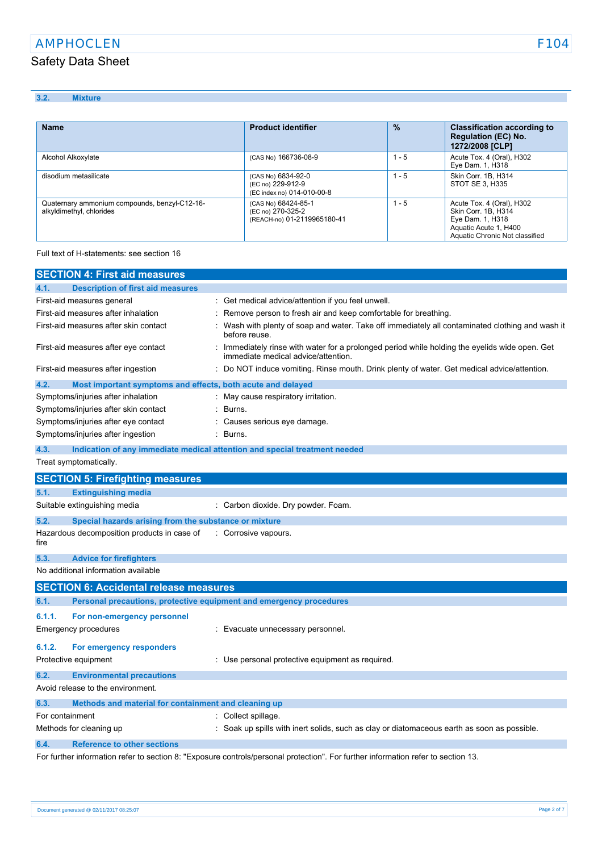### **3.2. Mixture**

| <b>Name</b>                                                               | <b>Product identifier</b>                                               | $\frac{9}{6}$ | <b>Classification according to</b><br><b>Regulation (EC) No.</b><br>1272/2008 [CLP]                                             |
|---------------------------------------------------------------------------|-------------------------------------------------------------------------|---------------|---------------------------------------------------------------------------------------------------------------------------------|
| Alcohol Alkoxylate                                                        | (CAS No) 166736-08-9                                                    | l - 5         | Acute Tox. 4 (Oral), H302<br>Eye Dam. 1, H318                                                                                   |
| disodium metasilicate                                                     | (CAS No) 6834-92-0<br>(EC no) 229-912-9<br>(EC index no) 014-010-00-8   | l - 5         | Skin Corr. 1B. H314<br>STOT SE 3, H335                                                                                          |
| Quaternary ammonium compounds, benzyl-C12-16-<br>alkyldimethyl, chlorides | (CAS No) 68424-85-1<br>(EC no) 270-325-2<br>(REACH-no) 01-2119965180-41 | 1 - 5         | Acute Tox. 4 (Oral), H302<br>Skin Corr. 1B, H314<br>Eye Dam. 1, H318<br>Aquatic Acute 1, H400<br>Aquatic Chronic Not classified |

Full text of H-statements: see section 16

|                 | <b>SECTION 4: First aid measures</b>                                       |                                                                                                                                     |
|-----------------|----------------------------------------------------------------------------|-------------------------------------------------------------------------------------------------------------------------------------|
| 4.1.            | <b>Description of first aid measures</b>                                   |                                                                                                                                     |
|                 | First-aid measures general                                                 | : Get medical advice/attention if you feel unwell.                                                                                  |
|                 | First-aid measures after inhalation                                        | Remove person to fresh air and keep comfortable for breathing.                                                                      |
|                 | First-aid measures after skin contact                                      | Wash with plenty of soap and water. Take off immediately all contaminated clothing and wash it<br>before reuse.                     |
|                 | First-aid measures after eye contact                                       | Immediately rinse with water for a prolonged period while holding the eyelids wide open. Get<br>immediate medical advice/attention. |
|                 | First-aid measures after ingestion                                         | Do NOT induce vomiting. Rinse mouth. Drink plenty of water. Get medical advice/attention.                                           |
| 4.2.            | Most important symptoms and effects, both acute and delayed                |                                                                                                                                     |
|                 | Symptoms/injuries after inhalation                                         | : May cause respiratory irritation.                                                                                                 |
|                 | Symptoms/injuries after skin contact                                       | Burns.                                                                                                                              |
|                 | Symptoms/injuries after eye contact                                        | Causes serious eye damage.                                                                                                          |
|                 | Symptoms/injuries after ingestion                                          | Burns.                                                                                                                              |
| 4.3.            | Indication of any immediate medical attention and special treatment needed |                                                                                                                                     |
|                 | Treat symptomatically.                                                     |                                                                                                                                     |
|                 | <b>SECTION 5: Firefighting measures</b>                                    |                                                                                                                                     |
| 5.1.            | <b>Extinguishing media</b>                                                 |                                                                                                                                     |
|                 | Suitable extinguishing media                                               | : Carbon dioxide. Dry powder. Foam.                                                                                                 |
| 5.2.            | Special hazards arising from the substance or mixture                      |                                                                                                                                     |
| fire            | Hazardous decomposition products in case of                                | : Corrosive vapours.                                                                                                                |
| 5.3.            | <b>Advice for firefighters</b>                                             |                                                                                                                                     |
|                 | No additional information available                                        |                                                                                                                                     |
|                 | <b>SECTION 6: Accidental release measures</b>                              |                                                                                                                                     |
| 6.1.            | Personal precautions, protective equipment and emergency procedures        |                                                                                                                                     |
| 6.1.1.          | For non-emergency personnel                                                |                                                                                                                                     |
|                 | Emergency procedures                                                       | : Evacuate unnecessary personnel.                                                                                                   |
| 6.1.2.          | For emergency responders                                                   |                                                                                                                                     |
|                 | Protective equipment                                                       | : Use personal protective equipment as required.                                                                                    |
|                 |                                                                            |                                                                                                                                     |
| 6.2.            | <b>Environmental precautions</b>                                           |                                                                                                                                     |
|                 | Avoid release to the environment.                                          |                                                                                                                                     |
| 6.3.            | Methods and material for containment and cleaning up                       |                                                                                                                                     |
| For containment |                                                                            | : Collect spillage.                                                                                                                 |
|                 | Methods for cleaning up                                                    | Soak up spills with inert solids, such as clay or diatomaceous earth as soon as possible.                                           |
| 6.4.            | <b>Reference to other sections</b>                                         |                                                                                                                                     |
|                 |                                                                            | For further information refer to section 8: "Exposure controls/personal protection". For further information refer to section 13.   |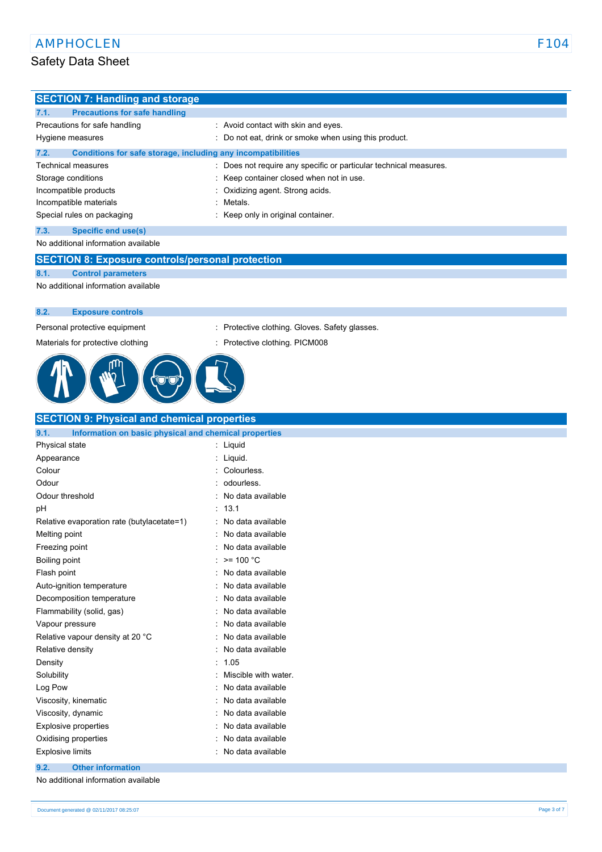| <b>SECTION 7: Handling and storage</b>                               |                                                                   |  |
|----------------------------------------------------------------------|-------------------------------------------------------------------|--|
| <b>Precautions for safe handling</b><br>7.1.                         |                                                                   |  |
| Precautions for safe handling                                        | : Avoid contact with skin and eyes.                               |  |
| Hygiene measures                                                     | : Do not eat, drink or smoke when using this product.             |  |
| 7.2.<br>Conditions for safe storage, including any incompatibilities |                                                                   |  |
| Technical measures                                                   | : Does not require any specific or particular technical measures. |  |
| Storage conditions                                                   | Keep container closed when not in use.                            |  |
| Incompatible products                                                | Oxidizing agent. Strong acids.                                    |  |
| Incompatible materials                                               | Metals.                                                           |  |
| Special rules on packaging                                           | Keep only in original container.                                  |  |
| <b>Specific end use(s)</b><br>7.3.                                   |                                                                   |  |
| No additional information available                                  |                                                                   |  |
| <b>SECTION 8: Exposure controls/personal protection</b>              |                                                                   |  |
| 8.1.<br><b>Control parameters</b>                                    |                                                                   |  |
| No additional information available                                  |                                                                   |  |
|                                                                      |                                                                   |  |
| 8.2.<br><b>Exposure controls</b>                                     |                                                                   |  |
| Personal protective equipment                                        | : Protective clothing. Gloves. Safety glasses.                    |  |
| Materials for protective clothing                                    | Protective clothing. PICM008                                      |  |
|                                                                      |                                                                   |  |
| <b>SECTION 9: Physical and chemical properties</b><br>9.1.           |                                                                   |  |
| Information on basic physical and chemical properties                | : Liquid                                                          |  |
| Physical state<br>Appearance                                         |                                                                   |  |
| Colour                                                               | Liquid.<br>Colourless.                                            |  |
| Odour                                                                | odourless.                                                        |  |
| Odour threshold                                                      | No data available                                                 |  |
| рH                                                                   | 13.1                                                              |  |
| Relative evaporation rate (butylacetate=1)                           | No data available                                                 |  |
| Melting point                                                        | No data available                                                 |  |
| Freezing point                                                       | No data available                                                 |  |
| Boiling point                                                        | : >= 100 °C                                                       |  |
| Flash point                                                          | No data available                                                 |  |
| Auto-ignition temperature                                            | No data available                                                 |  |
| Decomposition temperature                                            | No data available                                                 |  |
| Flammability (solid, gas)                                            | No data available                                                 |  |
| Vapour pressure                                                      | No data available                                                 |  |
| Relative vapour density at 20 °C                                     | No data available                                                 |  |
| Relative density                                                     | No data available                                                 |  |
| Density                                                              | 1.05                                                              |  |
| Solubility                                                           | Miscible with water.                                              |  |
| Log Pow                                                              | No data available                                                 |  |
| Viscosity, kinematic                                                 | No data available                                                 |  |
| Viscosity, dynamic                                                   | No data available                                                 |  |
| Explosive properties                                                 | No data available                                                 |  |
| Oxidising properties                                                 | No data available                                                 |  |
| <b>Explosive limits</b>                                              | No data available                                                 |  |
| <b>Other information</b><br>9.2.                                     |                                                                   |  |
| No additional information available                                  |                                                                   |  |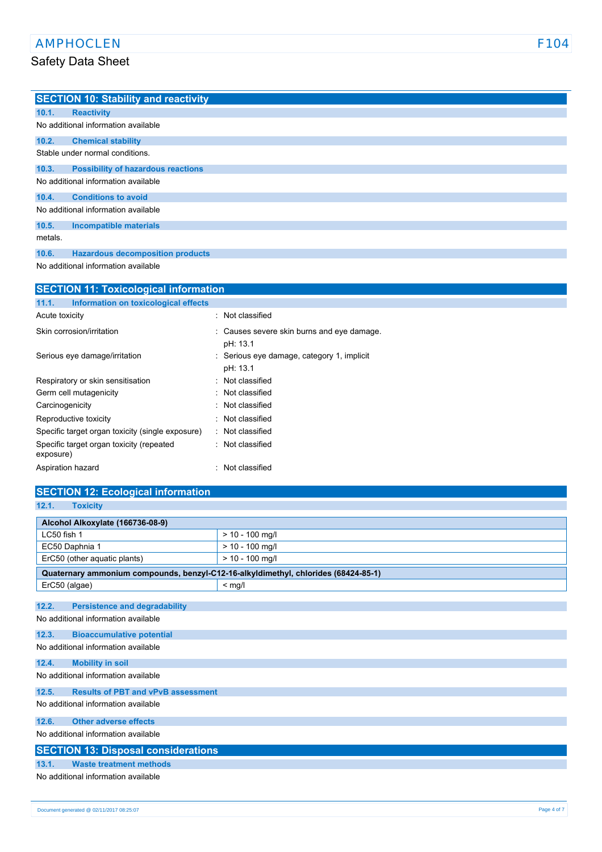|         | <b>SECTION 10: Stability and reactivity</b> |
|---------|---------------------------------------------|
| 10.1.   | <b>Reactivity</b>                           |
|         | No additional information available         |
| 10.2.   | <b>Chemical stability</b>                   |
|         | Stable under normal conditions.             |
| 10.3.   | <b>Possibility of hazardous reactions</b>   |
|         | No additional information available         |
| 10.4.   | <b>Conditions to avoid</b>                  |
|         | No additional information available         |
| 10.5.   | <b>Incompatible materials</b>               |
| metals. |                                             |
| 10.6.   | <b>Hazardous decomposition products</b>     |

No additional information available

| <b>SECTION 11: Toxicological information</b>          |                                                        |  |
|-------------------------------------------------------|--------------------------------------------------------|--|
| Information on toxicological effects<br>11.1.         |                                                        |  |
| Acute toxicity                                        | : Not classified                                       |  |
| Skin corrosion/irritation                             | : Causes severe skin burns and eye damage.<br>pH: 13.1 |  |
| Serious eye damage/irritation                         | : Serious eye damage, category 1, implicit<br>pH: 13.1 |  |
| Respiratory or skin sensitisation                     | Not classified                                         |  |
| Germ cell mutagenicity                                | Not classified                                         |  |
| Carcinogenicity                                       | : Not classified                                       |  |
| Reproductive toxicity                                 | : Not classified                                       |  |
| Specific target organ toxicity (single exposure)      | Not classified<br>٠.                                   |  |
| Specific target organ toxicity (repeated<br>exposure) | : Not classified                                       |  |
| Aspiration hazard                                     | Not classified                                         |  |

# **SECTION 12: Ecological information**

| - | <b>TOY HEIN</b> |
|---|-----------------|
|   |                 |

| Alcohol Alkoxylate (166736-08-9)                                                   |                   |  |  |
|------------------------------------------------------------------------------------|-------------------|--|--|
| LC50 fish 1                                                                        | $> 10 - 100$ mg/l |  |  |
| EC50 Daphnia 1                                                                     | $> 10 - 100$ mg/l |  |  |
| ErC50 (other aquatic plants)<br>$> 10 - 100$ mg/l                                  |                   |  |  |
| Quaternary ammonium compounds, benzyl-C12-16-alkyldimethyl, chlorides (68424-85-1) |                   |  |  |
| ErC50 (algae)                                                                      | $<$ mg/l          |  |  |
|                                                                                    |                   |  |  |
| 12.2.<br><b>Persistence and degradability</b>                                      |                   |  |  |
| No additional information available                                                |                   |  |  |
| 12.3.<br><b>Bioaccumulative potential</b>                                          |                   |  |  |
| No additional information available                                                |                   |  |  |
| 12.4.<br><b>Mobility in soil</b>                                                   |                   |  |  |
| No additional information available                                                |                   |  |  |
| <b>Results of PBT and vPvB assessment</b><br>12.5.                                 |                   |  |  |
| No additional information available                                                |                   |  |  |
| <b>Other adverse effects</b><br>12.6.                                              |                   |  |  |
| No additional information available                                                |                   |  |  |
| <b>SECTION 13: Disposal considerations</b>                                         |                   |  |  |
| 13.1.<br><b>Waste treatment methods</b>                                            |                   |  |  |
| No additional information available                                                |                   |  |  |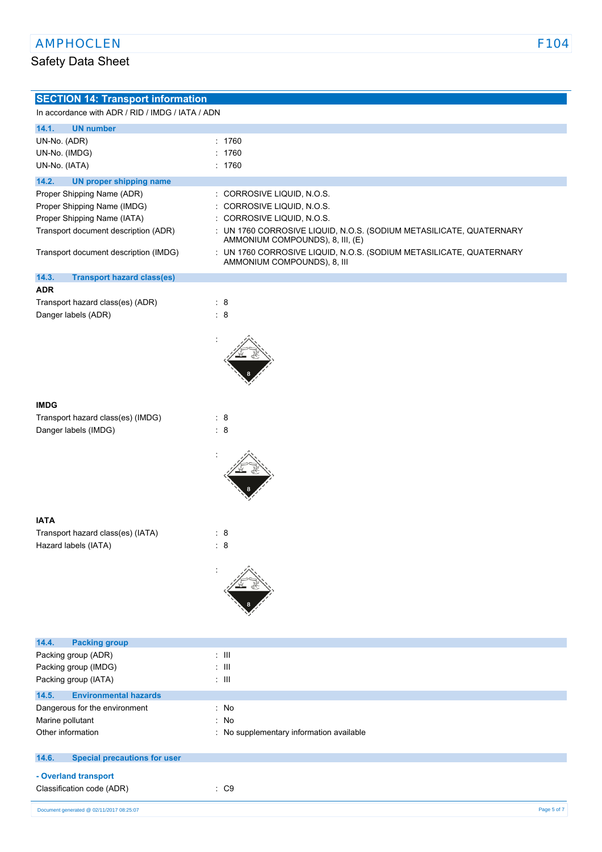| <b>SECTION 14: Transport information</b>                  |                                                                                                         |
|-----------------------------------------------------------|---------------------------------------------------------------------------------------------------------|
| In accordance with ADR / RID / IMDG / IATA / ADN          |                                                                                                         |
| 14.1.<br><b>UN number</b>                                 |                                                                                                         |
| UN-No. (ADR)                                              | : 1760                                                                                                  |
| UN-No. (IMDG)                                             | : 1760                                                                                                  |
| UN-No. (IATA)                                             | : 1760                                                                                                  |
| 14.2.<br><b>UN proper shipping name</b>                   |                                                                                                         |
| Proper Shipping Name (ADR)                                | : CORROSIVE LIQUID, N.O.S.                                                                              |
| Proper Shipping Name (IMDG)                               | : CORROSIVE LIQUID, N.O.S.                                                                              |
| Proper Shipping Name (IATA)                               | : CORROSIVE LIQUID, N.O.S.                                                                              |
| Transport document description (ADR)                      | : UN 1760 CORROSIVE LIQUID, N.O.S. (SODIUM METASILICATE, QUATERNARY<br>AMMONIUM COMPOUNDS), 8, III, (E) |
| Transport document description (IMDG)                     | : UN 1760 CORROSIVE LIQUID, N.O.S. (SODIUM METASILICATE, QUATERNARY<br>AMMONIUM COMPOUNDS), 8, III      |
| 14.3.<br><b>Transport hazard class(es)</b>                |                                                                                                         |
| <b>ADR</b>                                                |                                                                                                         |
| Transport hazard class(es) (ADR)                          | $\therefore$ 8                                                                                          |
| Danger labels (ADR)                                       | $\therefore$ 8                                                                                          |
|                                                           |                                                                                                         |
|                                                           |                                                                                                         |
|                                                           |                                                                                                         |
|                                                           |                                                                                                         |
|                                                           |                                                                                                         |
| <b>IMDG</b>                                               |                                                                                                         |
| Transport hazard class(es) (IMDG)                         | $\therefore$ 8                                                                                          |
| Danger labels (IMDG)                                      | $\therefore$ 8                                                                                          |
|                                                           |                                                                                                         |
|                                                           |                                                                                                         |
|                                                           |                                                                                                         |
|                                                           |                                                                                                         |
|                                                           |                                                                                                         |
|                                                           |                                                                                                         |
| <b>IATA</b>                                               | $\therefore$ 8                                                                                          |
| Transport hazard class(es) (IATA)<br>Hazard labels (IATA) | $\therefore$ 8                                                                                          |
|                                                           |                                                                                                         |
|                                                           |                                                                                                         |
|                                                           |                                                                                                         |
|                                                           |                                                                                                         |
|                                                           |                                                                                                         |
|                                                           |                                                                                                         |
| 14.4.<br><b>Packing group</b>                             |                                                                                                         |
| Packing group (ADR)                                       | $\div$ III                                                                                              |
| Packing group (IMDG)                                      | $\pm$ III                                                                                               |
| Packing group (IATA)                                      | $\pm$ III                                                                                               |
| 14.5.<br><b>Environmental hazards</b>                     |                                                                                                         |
| Dangerous for the environment                             | : No                                                                                                    |
| Marine pollutant                                          | : No                                                                                                    |
| Other information                                         | : No supplementary information available                                                                |
| 14.6.<br><b>Special precautions for user</b>              |                                                                                                         |
| - Overland transport                                      |                                                                                                         |
| Classification code (ADR)                                 | $\therefore$ C9                                                                                         |
|                                                           |                                                                                                         |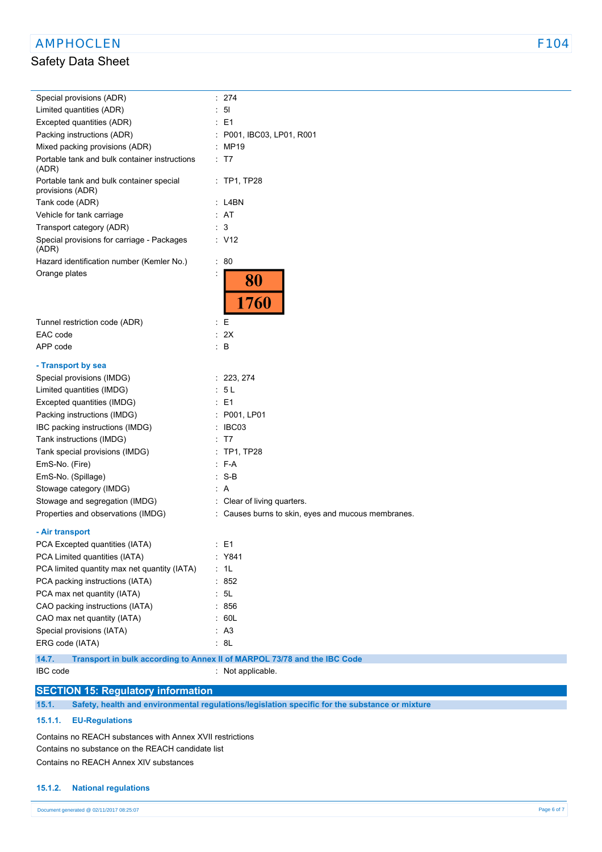| Special provisions (ADR)                                                          | : 274                                              |
|-----------------------------------------------------------------------------------|----------------------------------------------------|
| Limited quantities (ADR)                                                          | 5 <sub>l</sub>                                     |
| Excepted quantities (ADR)                                                         | E <sub>1</sub>                                     |
| Packing instructions (ADR)                                                        | P001, IBC03, LP01, R001                            |
| Mixed packing provisions (ADR)                                                    | MP19                                               |
| Portable tank and bulk container instructions<br>(ADR)                            | : T7                                               |
| Portable tank and bulk container special<br>provisions (ADR)                      | $:$ TP1, TP28                                      |
| Tank code (ADR)                                                                   | : L4BN                                             |
| Vehicle for tank carriage                                                         | AT                                                 |
| Transport category (ADR)                                                          | 3                                                  |
| Special provisions for carriage - Packages<br>(ADR)                               | : V12                                              |
| Hazard identification number (Kemler No.)                                         | : 80                                               |
| Orange plates                                                                     | 80<br>1760                                         |
| Tunnel restriction code (ADR)<br>÷                                                | Е                                                  |
| EAC code                                                                          | 2X                                                 |
| APP code<br>÷                                                                     | B                                                  |
| - Transport by sea                                                                |                                                    |
| Special provisions (IMDG)                                                         | : 223, 274                                         |
| Limited quantities (IMDG)                                                         | 5 L                                                |
| Excepted quantities (IMDG)                                                        | E <sub>1</sub>                                     |
| Packing instructions (IMDG)                                                       | P001, LP01                                         |
| IBC packing instructions (IMDG)                                                   | IBC03                                              |
| Tank instructions (IMDG)                                                          | T7                                                 |
| Tank special provisions (IMDG)                                                    | $:$ TP1, TP28                                      |
| EmS-No. (Fire)                                                                    | : F-A                                              |
| EmS-No. (Spillage)                                                                | : S-B                                              |
| Stowage category (IMDG)                                                           | : A                                                |
| Stowage and segregation (IMDG)                                                    | : Clear of living quarters.                        |
| Properties and observations (IMDG)                                                | : Causes burns to skin, eyes and mucous membranes. |
|                                                                                   |                                                    |
| - Air transport                                                                   |                                                    |
| PCA Excepted quantities (IATA)                                                    | : E1                                               |
| PCA Limited quantities (IATA)                                                     | : Y841                                             |
| PCA limited quantity max net quantity (IATA)                                      | 1L                                                 |
| PCA packing instructions (IATA)                                                   | 852                                                |
| PCA max net quantity (IATA)                                                       | 5L                                                 |
| CAO packing instructions (IATA)                                                   | 856                                                |
| CAO max net quantity (IATA)                                                       | 60L                                                |
| Special provisions (IATA)                                                         | : A3                                               |
| ERG code (IATA)                                                                   | : 8L                                               |
| 14.7.<br>Transport in bulk according to Annex II of MARPOL 73/78 and the IBC Code |                                                    |
| IBC code                                                                          | : Not applicable.                                  |

**SECTION 15: Regulatory information**

**15.1. Safety, health and environmental regulations/legislation specific for the substance or mixture**

### **15.1.1. EU-Regulations**

Contains no REACH substances with Annex XVII restrictions Contains no substance on the REACH candidate list Contains no REACH Annex XIV substances

#### **15.1.2. National regulations**